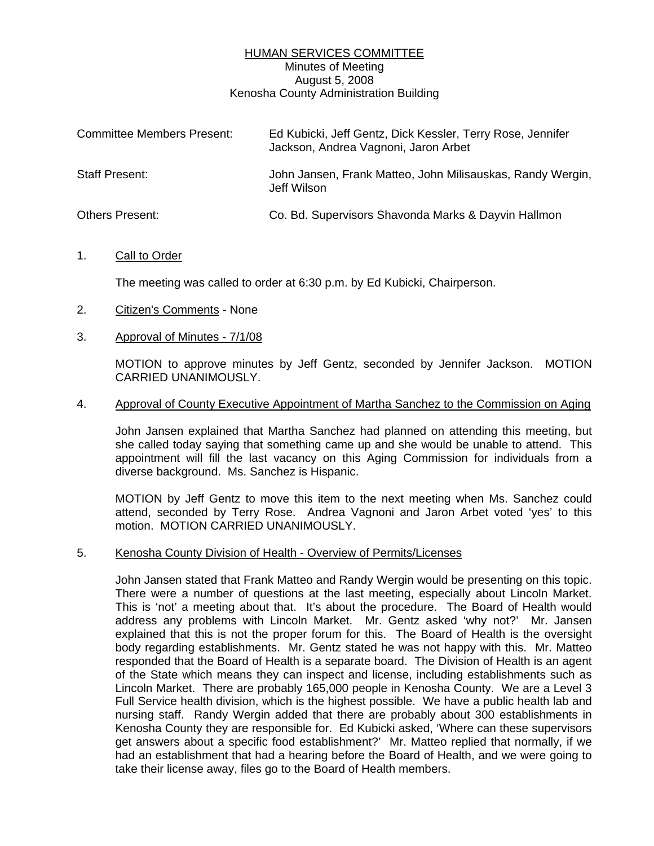# HUMAN SERVICES COMMITTEE Minutes of Meeting August 5, 2008 Kenosha County Administration Building

| <b>Committee Members Present:</b> | Ed Kubicki, Jeff Gentz, Dick Kessler, Terry Rose, Jennifer<br>Jackson, Andrea Vagnoni, Jaron Arbet |
|-----------------------------------|----------------------------------------------------------------------------------------------------|
| Staff Present:                    | John Jansen, Frank Matteo, John Milisauskas, Randy Wergin,<br>Jeff Wilson                          |
| <b>Others Present:</b>            | Co. Bd. Supervisors Shavonda Marks & Dayvin Hallmon                                                |

#### 1. Call to Order

The meeting was called to order at 6:30 p.m. by Ed Kubicki, Chairperson.

- 2. Citizen's Comments None
- 3. Approval of Minutes 7/1/08

 MOTION to approve minutes by Jeff Gentz, seconded by Jennifer Jackson. MOTION CARRIED UNANIMOUSLY.

#### 4. Approval of County Executive Appointment of Martha Sanchez to the Commission on Aging

 John Jansen explained that Martha Sanchez had planned on attending this meeting, but she called today saying that something came up and she would be unable to attend. This appointment will fill the last vacancy on this Aging Commission for individuals from a diverse background. Ms. Sanchez is Hispanic.

 MOTION by Jeff Gentz to move this item to the next meeting when Ms. Sanchez could attend, seconded by Terry Rose. Andrea Vagnoni and Jaron Arbet voted 'yes' to this motion. MOTION CARRIED UNANIMOUSLY.

#### 5. Kenosha County Division of Health - Overview of Permits/Licenses

 John Jansen stated that Frank Matteo and Randy Wergin would be presenting on this topic. There were a number of questions at the last meeting, especially about Lincoln Market. This is 'not' a meeting about that. It's about the procedure. The Board of Health would address any problems with Lincoln Market. Mr. Gentz asked 'why not?' Mr. Jansen explained that this is not the proper forum for this. The Board of Health is the oversight body regarding establishments. Mr. Gentz stated he was not happy with this. Mr. Matteo responded that the Board of Health is a separate board. The Division of Health is an agent of the State which means they can inspect and license, including establishments such as Lincoln Market. There are probably 165,000 people in Kenosha County. We are a Level 3 Full Service health division, which is the highest possible. We have a public health lab and nursing staff. Randy Wergin added that there are probably about 300 establishments in Kenosha County they are responsible for. Ed Kubicki asked, 'Where can these supervisors get answers about a specific food establishment?' Mr. Matteo replied that normally, if we had an establishment that had a hearing before the Board of Health, and we were going to take their license away, files go to the Board of Health members.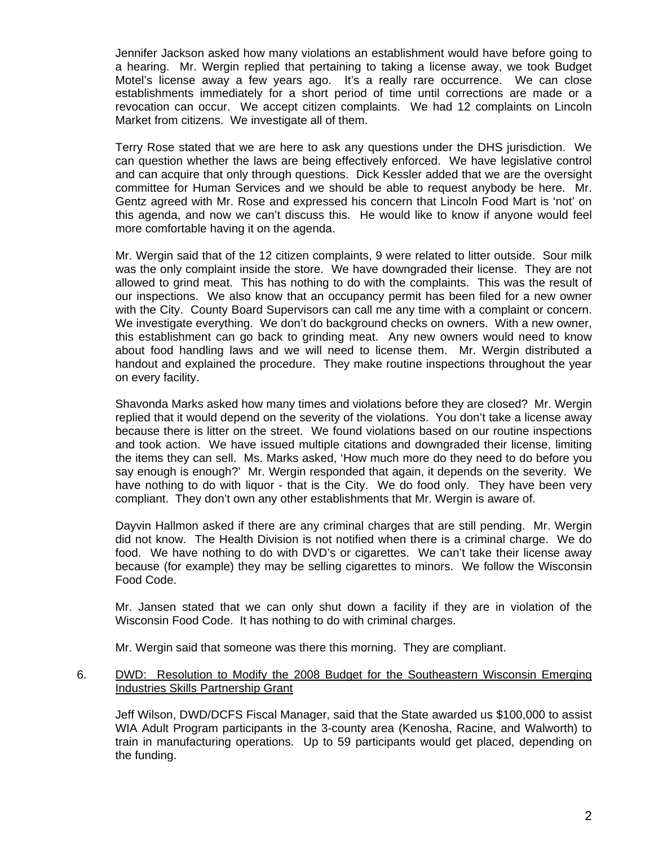Jennifer Jackson asked how many violations an establishment would have before going to a hearing. Mr. Wergin replied that pertaining to taking a license away, we took Budget Motel's license away a few years ago. It's a really rare occurrence. We can close establishments immediately for a short period of time until corrections are made or a revocation can occur. We accept citizen complaints. We had 12 complaints on Lincoln Market from citizens. We investigate all of them.

 Terry Rose stated that we are here to ask any questions under the DHS jurisdiction. We can question whether the laws are being effectively enforced. We have legislative control and can acquire that only through questions. Dick Kessler added that we are the oversight committee for Human Services and we should be able to request anybody be here. Mr. Gentz agreed with Mr. Rose and expressed his concern that Lincoln Food Mart is 'not' on this agenda, and now we can't discuss this. He would like to know if anyone would feel more comfortable having it on the agenda.

 Mr. Wergin said that of the 12 citizen complaints, 9 were related to litter outside. Sour milk was the only complaint inside the store. We have downgraded their license. They are not allowed to grind meat. This has nothing to do with the complaints. This was the result of our inspections. We also know that an occupancy permit has been filed for a new owner with the City. County Board Supervisors can call me any time with a complaint or concern. We investigate everything. We don't do background checks on owners. With a new owner, this establishment can go back to grinding meat. Any new owners would need to know about food handling laws and we will need to license them. Mr. Wergin distributed a handout and explained the procedure. They make routine inspections throughout the year on every facility.

 Shavonda Marks asked how many times and violations before they are closed? Mr. Wergin replied that it would depend on the severity of the violations. You don't take a license away because there is litter on the street. We found violations based on our routine inspections and took action. We have issued multiple citations and downgraded their license, limiting the items they can sell. Ms. Marks asked, 'How much more do they need to do before you say enough is enough?' Mr. Wergin responded that again, it depends on the severity. We have nothing to do with liquor - that is the City. We do food only. They have been very compliant. They don't own any other establishments that Mr. Wergin is aware of.

 Dayvin Hallmon asked if there are any criminal charges that are still pending. Mr. Wergin did not know. The Health Division is not notified when there is a criminal charge. We do food. We have nothing to do with DVD's or cigarettes. We can't take their license away because (for example) they may be selling cigarettes to minors. We follow the Wisconsin Food Code.

 Mr. Jansen stated that we can only shut down a facility if they are in violation of the Wisconsin Food Code. It has nothing to do with criminal charges.

Mr. Wergin said that someone was there this morning. They are compliant.

# 6. DWD: Resolution to Modify the 2008 Budget for the Southeastern Wisconsin Emerging Industries Skills Partnership Grant

 Jeff Wilson, DWD/DCFS Fiscal Manager, said that the State awarded us \$100,000 to assist WIA Adult Program participants in the 3-county area (Kenosha, Racine, and Walworth) to train in manufacturing operations. Up to 59 participants would get placed, depending on the funding.